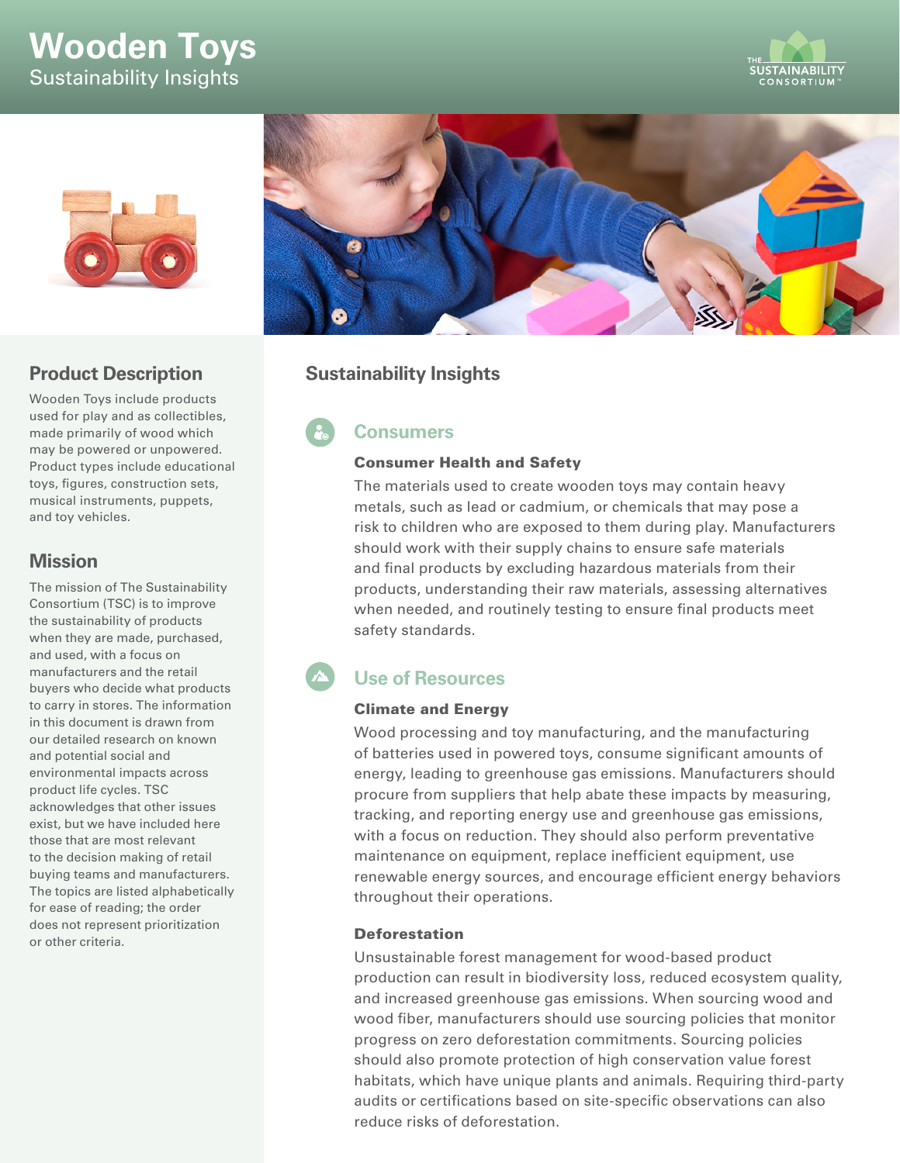# **Wooden Toys** Sustainability Insights





## **Product Description**

Wooden Toys include products used for play and as collectibles, made primarily of wood which may be powered or unpowered. Product types include educational toys, figures, construction sets, musical instruments, puppets, and toy vehicles.

### **Mission**

The mission of The Sustainability Consortium (TSC) is to improve the sustainability of products when they are made, purchased, and used, with a focus on manufacturers and the retail buyers who decide what products to carry in stores. The information in this document is drawn from our detailed research on known and potential social and environmental impacts across product life cycles. TSC acknowledges that other issues exist, but we have included here those that are most relevant to the decision making of retail buying teams and manufacturers. The topics are listed alphabetically for ease of reading; the order does not represent prioritization or other criteria.



# **Sustainability Insights**

# **Consumers**

#### Consumer Health and Safety

The materials used to create wooden toys may contain heavy metals, such as lead or cadmium, or chemicals that may pose a risk to children who are exposed to them during play. Manufacturers should work with their supply chains to ensure safe materials and final products by excluding hazardous materials from their products, understanding their raw materials, assessing alternatives when needed, and routinely testing to ensure final products meet safety standards.

# **Use of Resources**

### Climate and Energy

Wood processing and toy manufacturing, and the manufacturing of batteries used in powered toys, consume significant amounts of energy, leading to greenhouse gas emissions. Manufacturers should procure from suppliers that help abate these impacts by measuring, tracking, and reporting energy use and greenhouse gas emissions, with a focus on reduction. They should also perform preventative maintenance on equipment, replace inefficient equipment, use renewable energy sources, and encourage efficient energy behaviors throughout their operations.

#### Deforestation

Unsustainable forest management for wood-based product production can result in biodiversity loss, reduced ecosystem quality, and increased greenhouse gas emissions. When sourcing wood and wood fiber, manufacturers should use sourcing policies that monitor progress on zero deforestation commitments. Sourcing policies should also promote protection of high conservation value forest habitats, which have unique plants and animals. Requiring third-party audits or certifications based on site-specific observations can also reduce risks of deforestation.